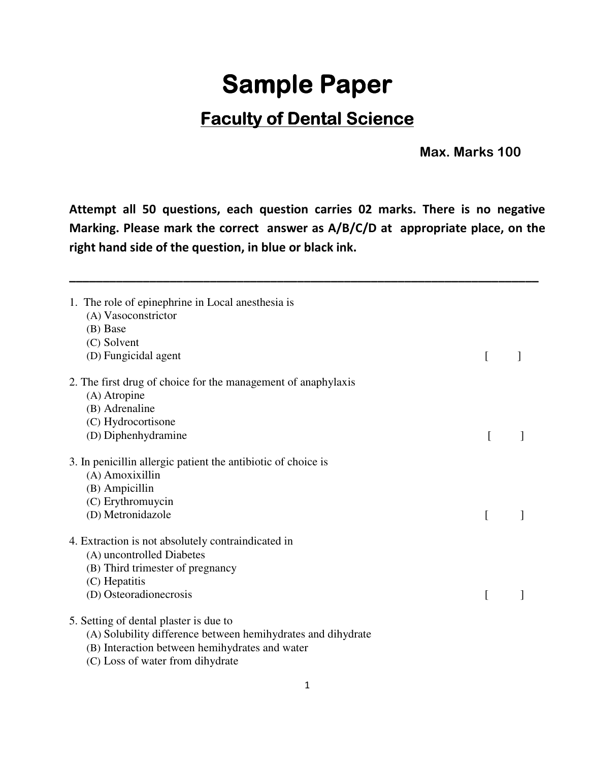## **Sample Paper**

## **Faculty of Dental Science**

 **Max. Marks 100** 

**Attempt all 50 questions, each question carries 02 marks. There is no negative Marking. Please mark the correct answer as A/B/C/D at appropriate place, on the right hand side of the question, in blue or black ink.** 

**\_\_\_\_\_\_\_\_\_\_\_\_\_\_\_\_\_\_\_\_\_\_\_\_\_\_\_\_\_\_\_\_\_\_\_\_\_\_\_\_\_\_\_\_\_\_\_\_\_\_\_\_\_\_\_\_\_\_\_\_\_\_\_\_\_\_\_\_\_\_** 

| 1. The role of epinephrine in Local anesthesia is<br>(A) Vasoconstrictor<br>(B) Base<br>(C) Solvent<br>(D) Fungicidal agent | L        |  |
|-----------------------------------------------------------------------------------------------------------------------------|----------|--|
| 2. The first drug of choice for the management of anaphylaxis                                                               |          |  |
| (A) Atropine                                                                                                                |          |  |
| (B) Adrenaline                                                                                                              |          |  |
| (C) Hydrocortisone                                                                                                          |          |  |
| (D) Diphenhydramine                                                                                                         |          |  |
| 3. In penicillin allergic patient the antibiotic of choice is                                                               |          |  |
| (A) Amoxixillin                                                                                                             |          |  |
| (B) Ampicillin                                                                                                              |          |  |
| (C) Erythromuycin                                                                                                           |          |  |
| (D) Metronidazole                                                                                                           | I        |  |
| 4. Extraction is not absolutely contraindicated in                                                                          |          |  |
| (A) uncontrolled Diabetes                                                                                                   |          |  |
| (B) Third trimester of pregnancy                                                                                            |          |  |
| (C) Hepatitis                                                                                                               |          |  |
| (D) Osteoradionecrosis                                                                                                      | $\Gamma$ |  |
| 5. Setting of dental plaster is due to                                                                                      |          |  |
| (A) Solubility difference between hemihydrates and dihydrate                                                                |          |  |
| (B) Interaction between hemihydrates and water                                                                              |          |  |
| (C) Loss of water from dihydrate                                                                                            |          |  |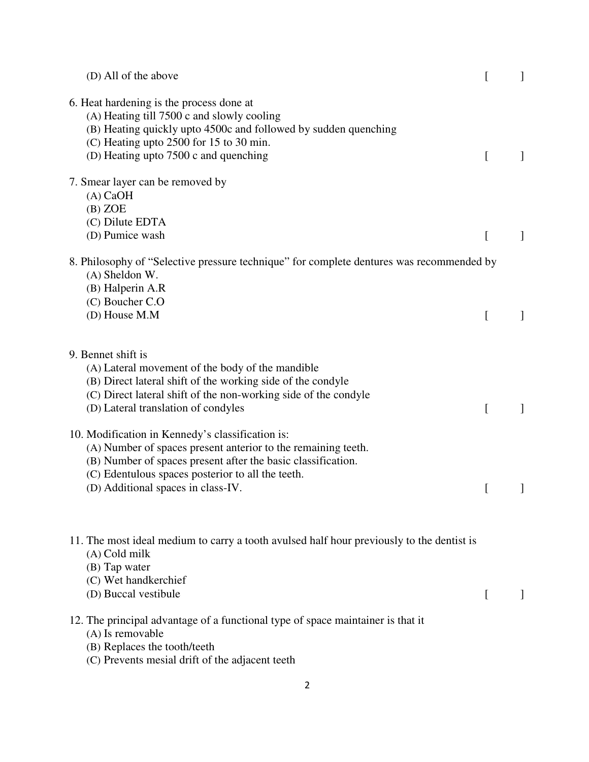| (D) All of the above                                                                                                                                                                                                                                                         | [ |  |
|------------------------------------------------------------------------------------------------------------------------------------------------------------------------------------------------------------------------------------------------------------------------------|---|--|
| 6. Heat hardening is the process done at<br>(A) Heating till 7500 c and slowly cooling<br>(B) Heating quickly upto 4500c and followed by sudden quenching<br>(C) Heating upto 2500 for 15 to 30 min.<br>(D) Heating upto 7500 c and quenching                                | L |  |
| 7. Smear layer can be removed by<br>$(A)$ CaOH<br>$(B)$ ZOE<br>(C) Dilute EDTA<br>(D) Pumice wash                                                                                                                                                                            | L |  |
| 8. Philosophy of "Selective pressure technique" for complete dentures was recommended by<br>(A) Sheldon W.<br>(B) Halperin A.R<br>(C) Boucher C.O                                                                                                                            |   |  |
| (D) House M.M                                                                                                                                                                                                                                                                | [ |  |
| 9. Bennet shift is<br>(A) Lateral movement of the body of the mandible<br>(B) Direct lateral shift of the working side of the condyle<br>(C) Direct lateral shift of the non-working side of the condyle<br>(D) Lateral translation of condyles                              | L |  |
| 10. Modification in Kennedy's classification is:<br>(A) Number of spaces present anterior to the remaining teeth.<br>(B) Number of spaces present after the basic classification.<br>(C) Edentulous spaces posterior to all the teeth.<br>(D) Additional spaces in class-IV. | [ |  |
| 11. The most ideal medium to carry a tooth avulsed half hour previously to the dentist is<br>$(A)$ Cold milk<br>(B) Tap water<br>(C) Wet handkerchief<br>(D) Buccal vestibule                                                                                                | L |  |
| 12. The principal advantage of a functional type of space maintainer is that it<br>(A) Is removable<br>(B) Replaces the tooth/teeth<br>(C) Prevents mesial drift of the adjacent teeth                                                                                       |   |  |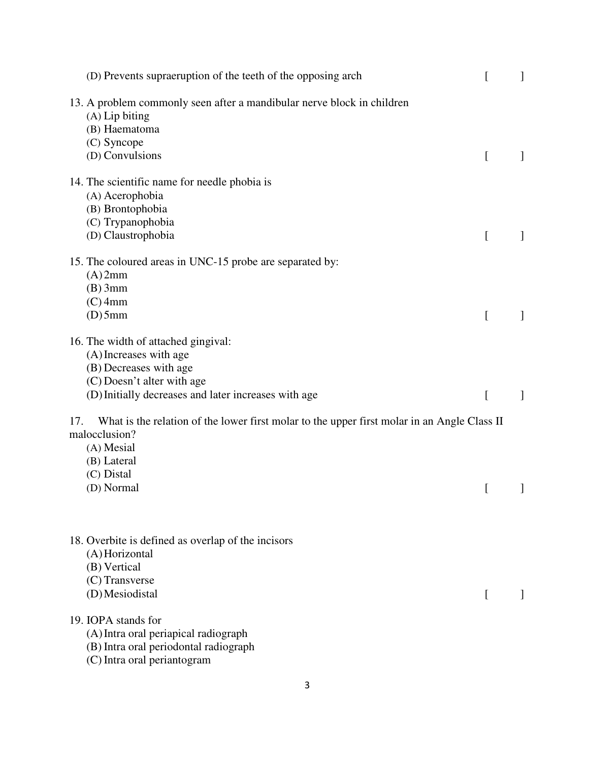| (D) Prevents supraeruption of the teeth of the opposing arch                                                                                                                  | [         | 1 |
|-------------------------------------------------------------------------------------------------------------------------------------------------------------------------------|-----------|---|
| 13. A problem commonly seen after a mandibular nerve block in children<br>$(A)$ Lip biting<br>(B) Haematoma<br>(C) Syncope<br>(D) Convulsions                                 | $\lfloor$ |   |
| 14. The scientific name for needle phobia is<br>(A) Acerophobia<br>(B) Brontophobia<br>(C) Trypanophobia<br>(D) Claustrophobia                                                | L         |   |
| 15. The coloured areas in UNC-15 probe are separated by:<br>$(A)$ 2mm<br>$(B)$ 3mm<br>$(C)$ 4mm<br>$(D)$ 5mm                                                                  | L         |   |
| 16. The width of attached gingival:<br>(A) Increases with age<br>(B) Decreases with age<br>(C) Doesn't alter with age<br>(D) Initially decreases and later increases with age | [         |   |
| What is the relation of the lower first molar to the upper first molar in an Angle Class II<br>17.<br>malocclusion?<br>(A) Mesial<br>(B) Lateral<br>(C) Distal<br>(D) Normal  | [         |   |
| 18. Overbite is defined as overlap of the incisors<br>(A) Horizontal<br>(B) Vertical<br>(C) Transverse<br>(D) Mesiodistal                                                     | ſ         |   |
| 19. IOPA stands for<br>(A) Intra oral periapical radiograph<br>(B) Intra oral periodontal radiograph<br>(C) Intra oral periantogram                                           |           |   |

3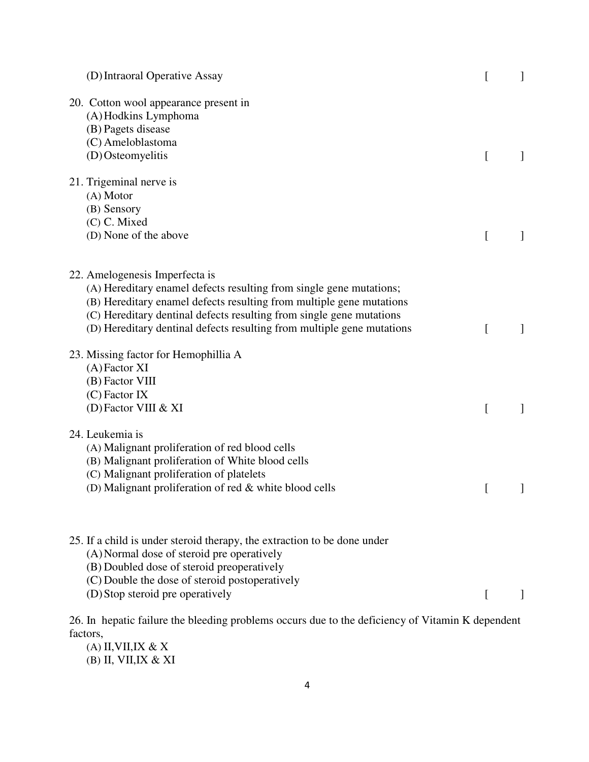| (D) Intraoral Operative Assay                                                                                                                                                                                                                                                                                                   |           | $\perp$ |
|---------------------------------------------------------------------------------------------------------------------------------------------------------------------------------------------------------------------------------------------------------------------------------------------------------------------------------|-----------|---------|
| 20. Cotton wool appearance present in<br>(A) Hodkins Lymphoma<br>(B) Pagets disease<br>(C) Ameloblastoma<br>(D) Osteomyelitis                                                                                                                                                                                                   | L         |         |
| 21. Trigeminal nerve is<br>$(A)$ Motor<br>(B) Sensory<br>(C) C. Mixed<br>(D) None of the above                                                                                                                                                                                                                                  | $\lfloor$ |         |
| 22. Amelogenesis Imperfecta is<br>(A) Hereditary enamel defects resulting from single gene mutations;<br>(B) Hereditary enamel defects resulting from multiple gene mutations<br>(C) Hereditary dentinal defects resulting from single gene mutations<br>(D) Hereditary dentinal defects resulting from multiple gene mutations | L         | $\perp$ |
| 23. Missing factor for Hemophillia A<br>$(A)$ Factor XI<br>(B) Factor VIII<br>$(C)$ Factor IX<br>(D) Factor VIII & XI                                                                                                                                                                                                           | L         |         |
| 24. Leukemia is<br>(A) Malignant proliferation of red blood cells<br>(B) Malignant proliferation of White blood cells<br>(C) Malignant proliferation of platelets<br>(D) Malignant proliferation of red & white blood cells                                                                                                     | I         |         |
| 25. If a child is under steroid therapy, the extraction to be done under<br>(A) Normal dose of steroid pre operatively<br>(B) Doubled dose of steroid preoperatively<br>(C) Double the dose of steroid postoperatively<br>(D) Stop steroid pre operatively                                                                      | $\Gamma$  |         |

26. In hepatic failure the bleeding problems occurs due to the deficiency of Vitamin K dependent factors,

- (A) II,VII,IX  $\&$  X
- (B) II, VII,IX & XI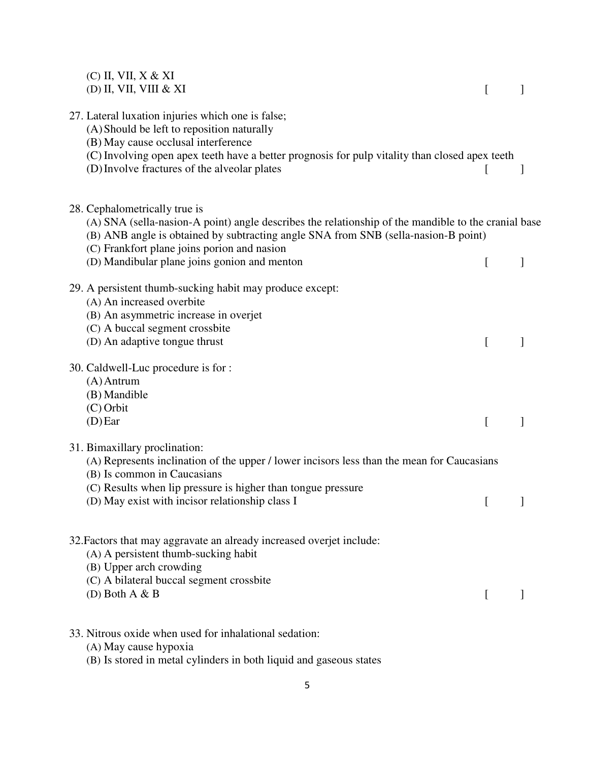| $(C)$ II, VII, X & XI<br>(D) II, VII, VIII & XI                                                                                                                                                                                                                           | $\mathsf{L}$ |              |
|---------------------------------------------------------------------------------------------------------------------------------------------------------------------------------------------------------------------------------------------------------------------------|--------------|--------------|
| 27. Lateral luxation injuries which one is false;<br>(A) Should be left to reposition naturally<br>(B) May cause occlusal interference                                                                                                                                    |              |              |
| (C) Involving open apex teeth have a better prognosis for pulp vitality than closed apex teeth<br>(D) Involve fractures of the alveolar plates                                                                                                                            |              | J            |
| 28. Cephalometrically true is<br>(A) SNA (sella-nasion-A point) angle describes the relationship of the mandible to the cranial base<br>(B) ANB angle is obtained by subtracting angle SNA from SNB (sella-nasion-B point)<br>(C) Frankfort plane joins porion and nasion |              |              |
| (D) Mandibular plane joins gonion and menton                                                                                                                                                                                                                              | L            | 1            |
| 29. A persistent thumb-sucking habit may produce except:<br>(A) An increased overbite<br>(B) An asymmetric increase in overjet<br>(C) A buccal segment crossbite<br>(D) An adaptive tongue thrust                                                                         | L            |              |
| 30. Caldwell-Luc procedure is for :<br>$(A)$ Antrum<br>(B) Mandible<br>$(C)$ Orbit<br>$(D)$ Ear                                                                                                                                                                           | $\Gamma$     | $\mathbf{I}$ |
| 31. Bimaxillary proclination:<br>(A) Represents inclination of the upper / lower incisors less than the mean for Caucasians<br>(B) Is common in Caucasians                                                                                                                |              |              |
| (C) Results when lip pressure is higher than tongue pressure<br>(D) May exist with incisor relationship class I                                                                                                                                                           |              |              |
| 32. Factors that may aggravate an already increased overjet include:<br>(A) A persistent thumb-sucking habit<br>(B) Upper arch crowding<br>(C) A bilateral buccal segment crossbite                                                                                       |              |              |
| (D) Both $A & B$                                                                                                                                                                                                                                                          | $\lceil$     |              |
| 33. Nitrous oxide when used for inhalational sedation:<br>(A) May cause hypoxia                                                                                                                                                                                           |              |              |
| (B) Is stored in metal cylinders in both liquid and gaseous states                                                                                                                                                                                                        |              |              |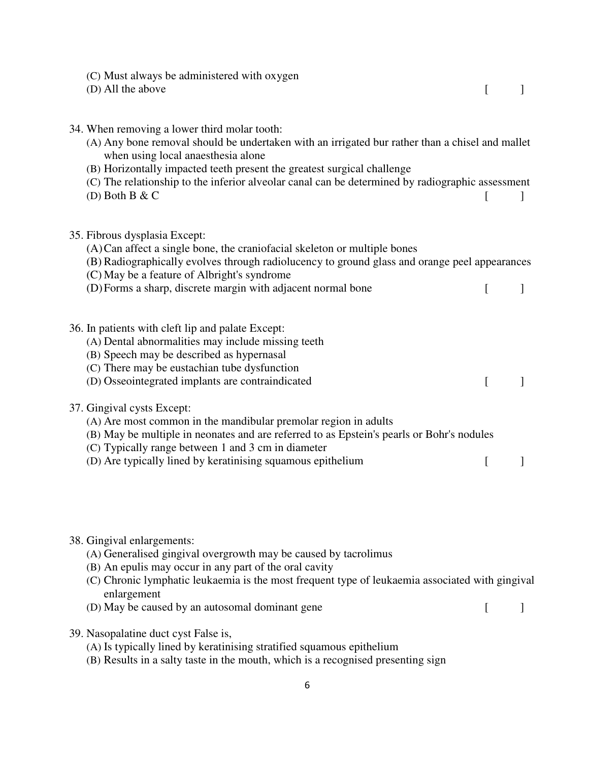| (C) Must always be administered with oxygen<br>(D) All the above                                                                                                                                                                                                                                                                                                                       | L |  |
|----------------------------------------------------------------------------------------------------------------------------------------------------------------------------------------------------------------------------------------------------------------------------------------------------------------------------------------------------------------------------------------|---|--|
| 34. When removing a lower third molar tooth:<br>(A) Any bone removal should be undertaken with an irrigated bur rather than a chisel and mallet<br>when using local anaesthesia alone<br>(B) Horizontally impacted teeth present the greatest surgical challenge<br>(C) The relationship to the inferior alveolar canal can be determined by radiographic assessment<br>(D) Both B & C | L |  |
| 35. Fibrous dysplasia Except:<br>(A) Can affect a single bone, the craniofacial skeleton or multiple bones<br>(B) Radiographically evolves through radiolucency to ground glass and orange peel appearances<br>(C) May be a feature of Albright's syndrome<br>(D) Forms a sharp, discrete margin with adjacent normal bone                                                             | L |  |
| 36. In patients with cleft lip and palate Except:<br>(A) Dental abnormalities may include missing teeth<br>(B) Speech may be described as hypernasal<br>(C) There may be eustachian tube dysfunction<br>(D) Osseointegrated implants are contraindicated                                                                                                                               | L |  |
| 37. Gingival cysts Except:<br>(A) Are most common in the mandibular premolar region in adults<br>(B) May be multiple in neonates and are referred to as Epstein's pearls or Bohr's nodules<br>(C) Typically range between 1 and 3 cm in diameter<br>(D) Are typically lined by keratinising squamous epithelium                                                                        | L |  |
| 38. Gingival enlargements:<br>(A) Generalised gingival overgrowth may be caused by tacrolimus<br>(B) An epulis may occur in any part of the oral cavity<br>المفارد والمستحدث والمستقر والمستحدث والمتمرون                                                                                                                                                                              |   |  |

- (C) Chronic lymphatic leukaemia is the most frequent type of leukaemia associated with gingival enlargement
- (D) May be caused by an autosomal dominant gene [ ]
	-

- 39. Nasopalatine duct cyst False is,
	- (A) Is typically lined by keratinising stratified squamous epithelium
	- (B) Results in a salty taste in the mouth, which is a recognised presenting sign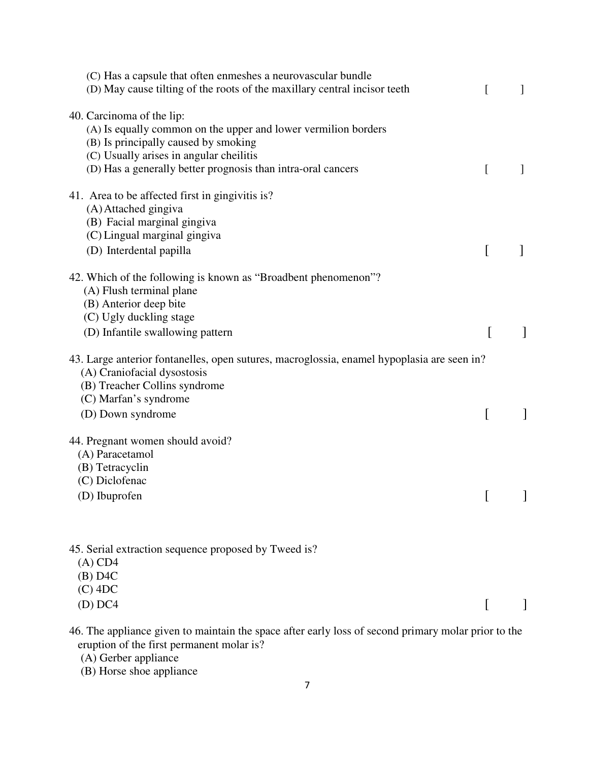| (C) Has a capsule that often enmeshes a neurovascular bundle<br>(D) May cause tilting of the roots of the maxillary central incisor teeth                                                                                                      | [        | 1            |
|------------------------------------------------------------------------------------------------------------------------------------------------------------------------------------------------------------------------------------------------|----------|--------------|
| 40. Carcinoma of the lip:<br>(A) Is equally common on the upper and lower vermilion borders<br>(B) Is principally caused by smoking<br>(C) Usually arises in angular cheilitis<br>(D) Has a generally better prognosis than intra-oral cancers | L        | 1            |
| 41. Area to be affected first in gingivitis is?<br>(A) Attached gingiva<br>(B) Facial marginal gingiva<br>(C) Lingual marginal gingiva                                                                                                         |          |              |
| (D) Interdental papilla                                                                                                                                                                                                                        | L        |              |
| 42. Which of the following is known as "Broadbent phenomenon"?<br>(A) Flush terminal plane<br>(B) Anterior deep bite<br>(C) Ugly duckling stage<br>(D) Infantile swallowing pattern                                                            | $\Gamma$ | $\mathbf{I}$ |
| 43. Large anterior fontanelles, open sutures, macroglossia, enamel hypoplasia are seen in?<br>(A) Craniofacial dysostosis<br>(B) Treacher Collins syndrome<br>(C) Marfan's syndrome                                                            |          |              |
| (D) Down syndrome                                                                                                                                                                                                                              |          |              |
| 44. Pregnant women should avoid?<br>(A) Paracetamol<br>(B) Tetracyclin<br>(C) Diclofenac<br>(D) Ibuprofen                                                                                                                                      |          |              |
| 45. Serial extraction sequence proposed by Tweed is?<br>$(A)$ CD4<br>$(B)$ D4C<br>$(C)$ 4DC                                                                                                                                                    |          |              |
| $(D)$ DC4                                                                                                                                                                                                                                      |          |              |
|                                                                                                                                                                                                                                                |          |              |

46. The appliance given to maintain the space after early loss of second primary molar prior to the eruption of the first permanent molar is?

(A) Gerber appliance

(B) Horse shoe appliance